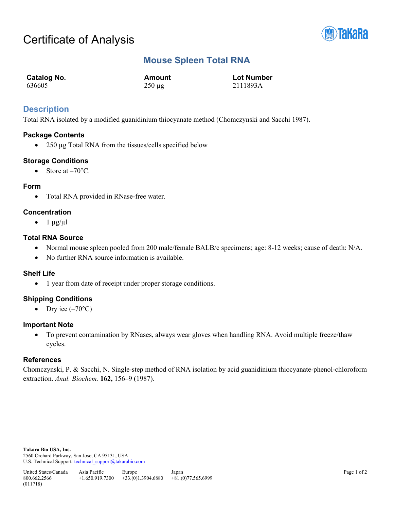

# **Mouse Spleen Total RNA**

| Catalog No. | Amount      | <b>Lot Number</b> |
|-------------|-------------|-------------------|
| 636605      | $250 \mu g$ | 2111893A          |

## **Description**

Total RNA isolated by a modified guanidinium thiocyanate method (Chomczynski and Sacchi 1987).

### **Package Contents**

• 250 µg Total RNA from the tissues/cells specified below

### **Storage Conditions**

• Store at  $-70^{\circ}$ C.

#### **Form**

• Total RNA provided in RNase-free water.

### **Concentration**

 $\bullet$  1 µg/µl

### **Total RNA Source**

- Normal mouse spleen pooled from 200 male/female BALB/c specimens; age: 8-12 weeks; cause of death: N/A.
- No further RNA source information is available.

### **Shelf Life**

• 1 year from date of receipt under proper storage conditions.

### **Shipping Conditions**

• Dry ice  $(-70^{\circ}C)$ 

#### **Important Note**

• To prevent contamination by RNases, always wear gloves when handling RNA. Avoid multiple freeze/thaw cycles.

### **References**

Chomczynski, P. & Sacchi, N. Single-step method of RNA isolation by acid guanidinium thiocyanate-phenol-chloroform extraction. *Anal. Biochem.* **162,** 156–9 (1987).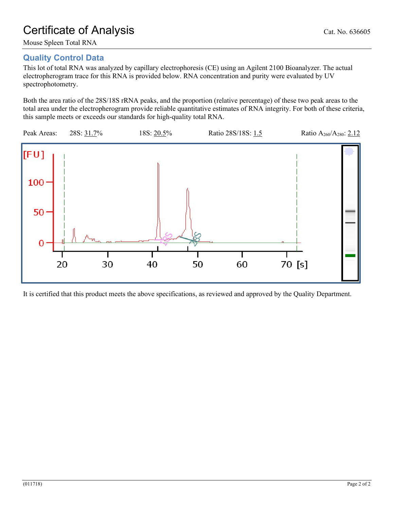# Certificate of Analysis Cat. No. 636605

Mouse Spleen Total RNA

# **Quality Control Data**

This lot of total RNA was analyzed by capillary electrophoresis (CE) using an Agilent 2100 Bioanalyzer. The actual electropherogram trace for this RNA is provided below. RNA concentration and purity were evaluated by UV spectrophotometry.

Both the area ratio of the 28S/18S rRNA peaks, and the proportion (relative percentage) of these two peak areas to the total area under the electropherogram provide reliable quantitative estimates of RNA integrity. For both of these criteria, this sample meets or exceeds our standards for high-quality total RNA.



It is certified that this product meets the above specifications, as reviewed and approved by the Quality Department.